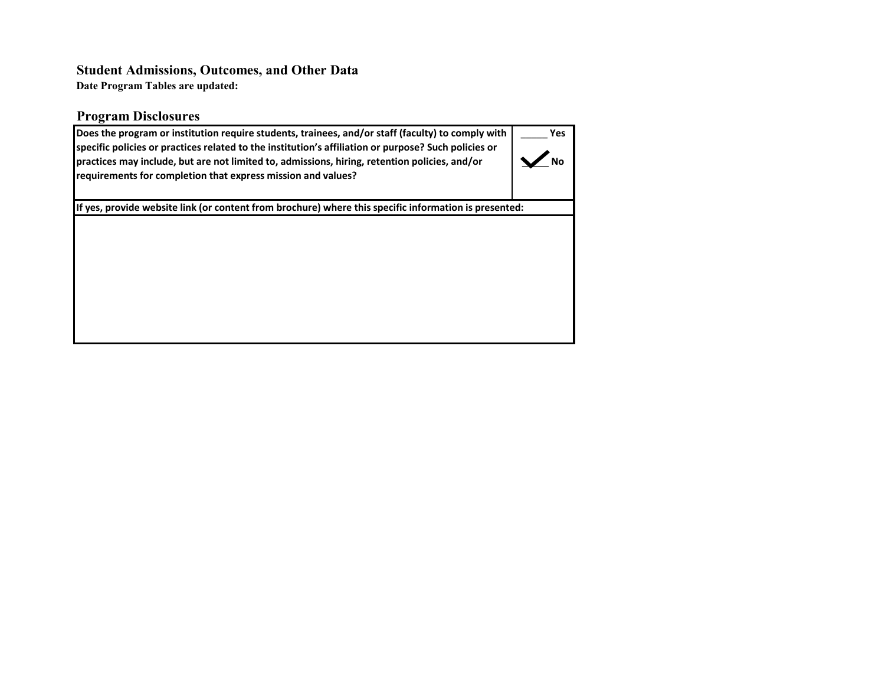# **Student Admissions, Outcomes, and Other Data**

**Date Program Tables are updated:**

### **Program Disclosures**

| Does the program or institution require students, trainees, and/or staff (faculty) to comply with<br>specific policies or practices related to the institution's affiliation or purpose? Such policies or<br>practices may include, but are not limited to, admissions, hiring, retention policies, and/or<br>requirements for completion that express mission and values? | Yes. |
|----------------------------------------------------------------------------------------------------------------------------------------------------------------------------------------------------------------------------------------------------------------------------------------------------------------------------------------------------------------------------|------|
| If yes, provide website link (or content from brochure) where this specific information is presented:                                                                                                                                                                                                                                                                      |      |
|                                                                                                                                                                                                                                                                                                                                                                            |      |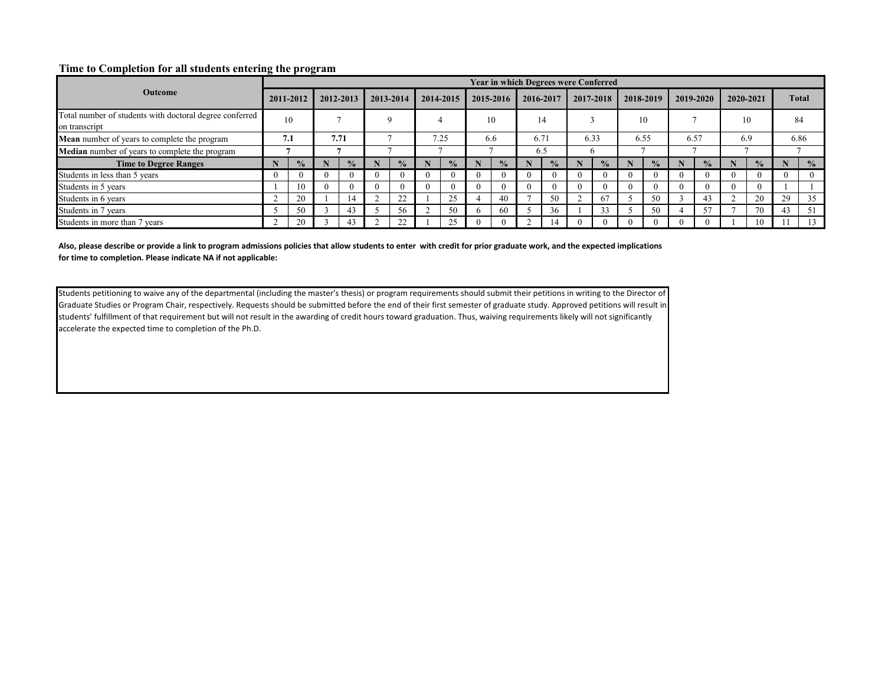#### **Time to Completion for all students entering the program**

|                                                                          |           |               |           |               |           |               |      |               |          | <b>Year in which Degrees were Conferred</b> |      |               |  |               |          |               |           |               |           |               |       |               |      |  |
|--------------------------------------------------------------------------|-----------|---------------|-----------|---------------|-----------|---------------|------|---------------|----------|---------------------------------------------|------|---------------|--|---------------|----------|---------------|-----------|---------------|-----------|---------------|-------|---------------|------|--|
| <b>Outcome</b>                                                           | 2011-2012 |               | 2012-2013 |               | 2013-2014 |               |      | 2014-2015     |          | 2015-2016                                   |      | 2016-2017     |  | 2017-2018     |          | 2018-2019     | 2019-2020 |               | 2020-2021 |               | Total |               |      |  |
| Total number of students with doctoral degree conferred<br>on transcript |           | 10            |           |               |           |               |      |               |          | 10                                          |      | 14            |  |               |          | 10            |           |               | 10        |               | 84    |               |      |  |
| Mean number of years to complete the program                             | 7.1       |               | 7.71      |               |           |               | 7.25 |               |          | 6.6                                         | 6.71 |               |  | 6.33          |          | 6.55          |           |               |           | 6.57          | 6.9   |               | 6.86 |  |
| Median number of years to complete the program                           |           |               |           |               |           |               |      |               |          |                                             |      | 6.5           |  |               |          |               |           |               |           |               |       |               |      |  |
| <b>Time to Degree Ranges</b>                                             |           | $\frac{0}{0}$ |           | $\frac{0}{2}$ |           | $\frac{0}{2}$ |      | $\frac{0}{2}$ |          | $\frac{0}{0}$                               |      | $\frac{0}{2}$ |  | $\frac{0}{2}$ |          | $\frac{0}{2}$ |           | $\frac{0}{2}$ |           | $\frac{0}{2}$ |       | $\frac{0}{0}$ |      |  |
| Students in less than 5 years                                            |           |               | $\Omega$  |               |           |               |      |               | $\Omega$ |                                             |      | $\Omega$      |  |               | $\Omega$ |               |           | $^{(1)}$      | 0         | $\Omega$      |       |               |      |  |
| Students in 5 years                                                      |           | 10            | $\Omega$  |               |           |               |      |               | 0        |                                             |      | $\Omega$      |  |               | 0        |               |           | $\Omega$      | 0         | $\Omega$      |       |               |      |  |
| Students in 6 years                                                      |           | 20            |           | 14            |           | 22            |      | 25            |          | 40                                          |      | 50            |  | 67            |          | 50            |           | 43            |           | 20            | 29    | 35            |      |  |
| Students in 7 years                                                      |           | 50            |           | 43            |           | 56            |      | 50            | h.       | 60                                          |      | 36            |  | 33            |          | 50            |           | 57            |           | 70            | 43    | 51            |      |  |
| Students in more than 7 years                                            |           | 20            |           | 43            |           | $\mathcal{D}$ |      |               |          |                                             |      |               |  |               |          |               |           |               |           | 10            |       |               |      |  |

**Also, please describe or provide a link to program admissions policies that allow students to enter with credit for prior graduate work, and the expected implications for time to completion. Please indicate NA if not applicable:**

Students petitioning to waive any of the departmental (including the master's thesis) or program requirements should submit their petitions in writing to the Director of Graduate Studies or Program Chair, respectively. Requests should be submitted before the end of their first semester of graduate study. Approved petitions will result in students' fulfillment of that requirement but will not result in the awarding of credit hours toward graduation. Thus, waiving requirements likely will not significantly accelerate the expected time to completion of the Ph.D.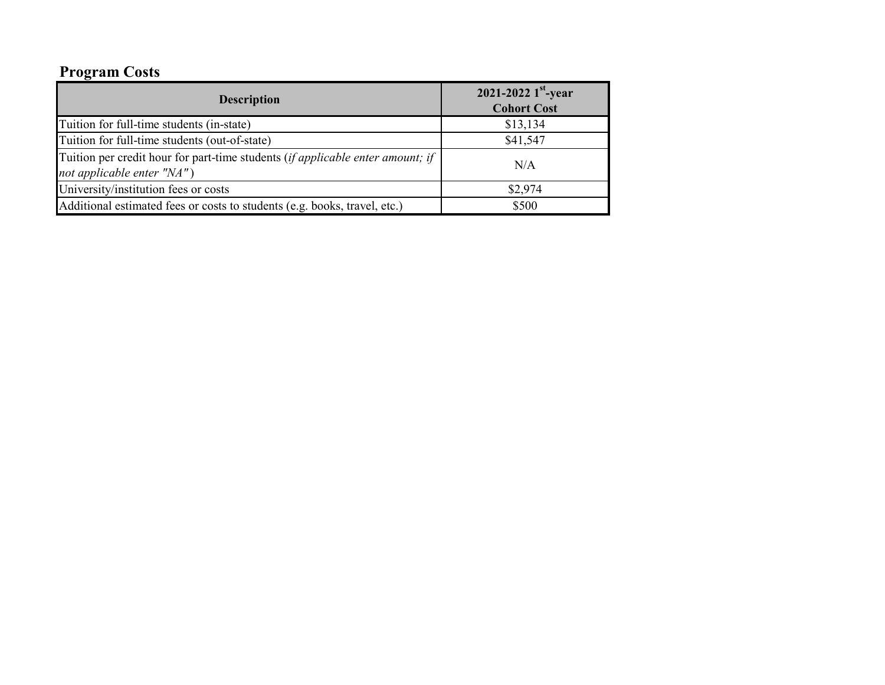# **Program Costs**

| <b>Description</b>                                                                                           | 2021-2022 $1^{st}$ -year<br><b>Cohort Cost</b> |
|--------------------------------------------------------------------------------------------------------------|------------------------------------------------|
| Tuition for full-time students (in-state)                                                                    | \$13,134                                       |
| Tuition for full-time students (out-of-state)                                                                | \$41,547                                       |
| Tuition per credit hour for part-time students (if applicable enter amount; if<br>not applicable enter "NA") | N/A                                            |
| University/institution fees or costs                                                                         | \$2,974                                        |
| Additional estimated fees or costs to students (e.g. books, travel, etc.)                                    | \$500                                          |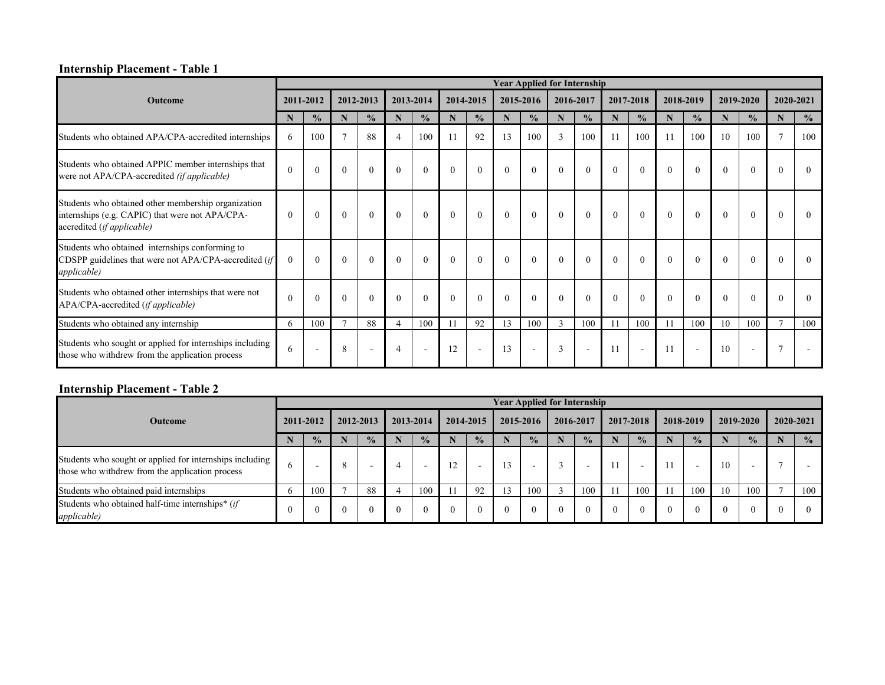#### **Internship Placement - Table 1**

|                                                                                                                                      |          |               |                |               |                |                          |          |                          |          |                          |          | <b>Year Applied for Internship</b> |          |                          |          |               |          |               |                |               |
|--------------------------------------------------------------------------------------------------------------------------------------|----------|---------------|----------------|---------------|----------------|--------------------------|----------|--------------------------|----------|--------------------------|----------|------------------------------------|----------|--------------------------|----------|---------------|----------|---------------|----------------|---------------|
| <b>Outcome</b>                                                                                                                       |          | 2011-2012     |                | 2012-2013     |                | 2013-2014                |          | 2014-2015                |          | 2015-2016                |          | 2016-2017                          |          | 2017-2018                |          | 2018-2019     |          | 2019-2020     | 2020-2021      |               |
|                                                                                                                                      | N        | $\frac{0}{0}$ | N              | $\frac{0}{0}$ | N              | $\frac{0}{0}$            | N        | $\frac{0}{0}$            | N        | $\frac{0}{0}$            | N        | $\frac{0}{0}$                      | N        | $\frac{0}{0}$            | N        | $\frac{0}{0}$ | N        | $\frac{0}{0}$ | $\mathbf N$    | $\frac{0}{0}$ |
| Students who obtained APA/CPA-accredited internships                                                                                 | 6        | 100           | $\overline{ }$ | 88            | $\overline{4}$ | 100                      |          | 92                       | 13       | 100                      | 3        | 100                                | 11       | 100                      | 11       | 100           | 10       | 100           | $\tau$         | 100           |
| Students who obtained APPIC member internships that<br>were not APA/CPA-accredited (if applicable)                                   | $\Omega$ | $\mathbf{0}$  | $\theta$       | $\theta$      | $\theta$       | $\overline{0}$           | $\theta$ | $\theta$                 | $\Omega$ | $\theta$                 | $\theta$ | $\theta$                           | $\theta$ | $\theta$                 | $\Omega$ | $\theta$      | $\theta$ | $\theta$      | $\Omega$       | $\Omega$      |
| Students who obtained other membership organization<br>internships (e.g. CAPIC) that were not APA/CPA-<br>accredited (if applicable) | $\theta$ | $\Omega$      | $\theta$       | $\Omega$      | $\theta$       | $\theta$                 | $\Omega$ | $\theta$                 | $\Omega$ | $\theta$                 | $\Omega$ | $\theta$                           | $\Omega$ | $\theta$                 | $\Omega$ | $\theta$      | $\Omega$ | $\Omega$      | $\Omega$       | $\Omega$      |
| Students who obtained internships conforming to<br>CDSPP guidelines that were not $APA/CPA$ -accredited (if<br><i>applicable</i> )   | $\Omega$ | $\Omega$      | $\Omega$       | $\Omega$      | $\Omega$       | $\theta$                 | $\Omega$ | $\Omega$                 | $\Omega$ | $\theta$                 | $\Omega$ | $\Omega$                           | $\Omega$ | $\Omega$                 | $\Omega$ | $\theta$      | $\Omega$ | $\Omega$      | $\Omega$       | $\Omega$      |
| Students who obtained other internships that were not<br>APA/CPA-accredited (if applicable)                                          | $\Omega$ | $\Omega$      | $\Omega$       | $\Omega$      | $\theta$       | $\theta$                 | $\Omega$ | $\theta$                 | $\Omega$ | $\theta$                 | $\Omega$ | $\Omega$                           | $\Omega$ | $\Omega$                 | $\Omega$ | $\theta$      | $\Omega$ | $\Omega$      | $\Omega$       | $\Omega$      |
| Students who obtained any internship                                                                                                 | 6        | 100           | $\overline{7}$ | 88            | $\overline{4}$ | 100                      |          | 92                       | 13       | 100                      | 3        | 100                                | 11       | 100                      | 11       | 100           | 10       | 100           | $\overline{7}$ | 100           |
| Students who sought or applied for internships including<br>those who withdrew from the application process                          | 6        |               | 8              |               |                | $\overline{\phantom{a}}$ | 12       | $\overline{\phantom{a}}$ | 13       | $\overline{\phantom{a}}$ | 3        |                                    | 11       | $\overline{\phantom{a}}$ | 11       | $\sim$        | 10       |               | 7              |               |

#### **Internship Placement - Table 2**

|                                                                                                             |              |               |          |               |     |               |  |               |    | <b>Year Applied for Internship</b> |          |               |  |                          |  |                          |           |               |           |               |
|-------------------------------------------------------------------------------------------------------------|--------------|---------------|----------|---------------|-----|---------------|--|---------------|----|------------------------------------|----------|---------------|--|--------------------------|--|--------------------------|-----------|---------------|-----------|---------------|
| <b>Outcome</b>                                                                                              |              | 2011-2012     |          | 2012-2013     |     | 2013-2014     |  | 2014-2015     |    | 2015-2016                          |          | 2016-2017     |  | 2017-2018                |  | 2018-2019                | 2019-2020 |               | 2020-2021 |               |
|                                                                                                             |              | $\frac{0}{2}$ |          | $\frac{0}{0}$ | IN. | $\frac{0}{2}$ |  | $\frac{0}{2}$ |    | $\frac{0}{0}$                      |          | $\frac{0}{2}$ |  | $\frac{0}{2}$            |  | $\frac{0}{2}$            |           | $\frac{0}{2}$ |           | $\frac{0}{0}$ |
| Students who sought or applied for internships including<br>those who withdrew from the application process | 6            | -             | 8        |               |     |               |  | $\sim$        | 3  | $\overline{\phantom{0}}$           |          |               |  | $\overline{\phantom{0}}$ |  | $\overline{\phantom{a}}$ | 10        |               |           |               |
| Students who obtained paid internships                                                                      | <sub>t</sub> | 100           |          | 88            |     | 100           |  | 92            | 13 | 100                                |          | 100           |  | 100                      |  | 100                      | 10        | 100           |           | 100           |
| Students who obtained half-time internships* (if<br>applicable)                                             | $\Omega$     | $\Omega$      | $\Omega$ | $\left($      |     | $\theta$      |  |               |    | $\theta$                           | $\Omega$ | $\Omega$      |  | $\Omega$                 |  | 0                        | $\Omega$  |               | $\Omega$  |               |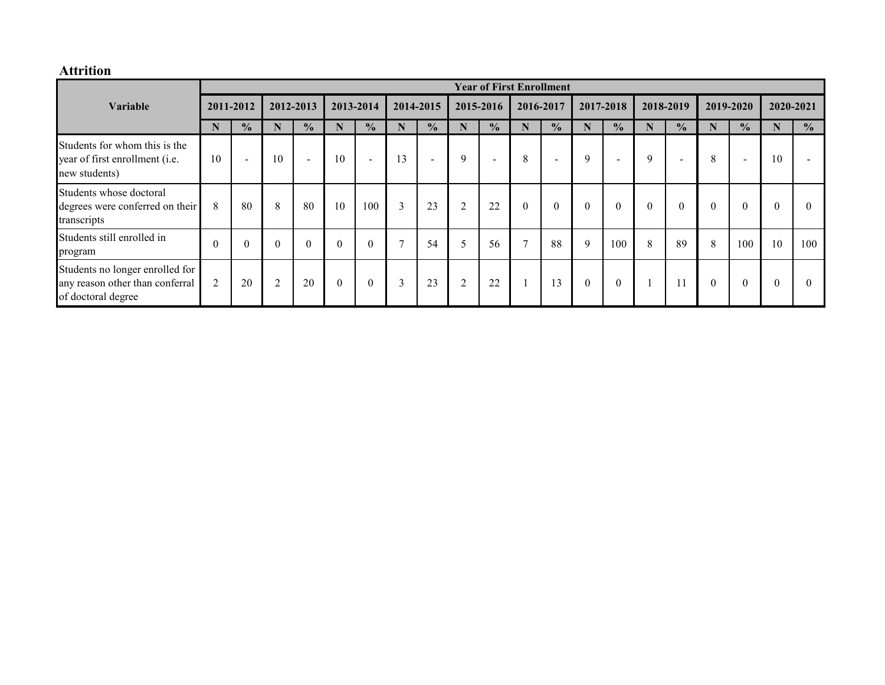### **Attrition**

|                                                                                          |                |               |                |               |          |                  |              |               |                |                | <b>Year of First Enrollment</b> |                |              |                |          |                          |                |                          |           |               |           |  |
|------------------------------------------------------------------------------------------|----------------|---------------|----------------|---------------|----------|------------------|--------------|---------------|----------------|----------------|---------------------------------|----------------|--------------|----------------|----------|--------------------------|----------------|--------------------------|-----------|---------------|-----------|--|
| Variable                                                                                 |                |               |                | 2011-2012     |          | 2012-2013        |              | 2013-2014     |                | 2014-2015      |                                 | 2015-2016      |              | 2016-2017      |          | 2017-2018                |                | 2018-2019                | 2019-2020 |               | 2020-2021 |  |
|                                                                                          |                | $\frac{0}{0}$ | N              | $\frac{0}{2}$ | N        | $\frac{0}{0}$    | N            | $\frac{1}{2}$ | N              | $\frac{0}{0}$  | N                               | $\frac{0}{2}$  | N            | $\frac{0}{0}$  | N        | $\frac{0}{0}$            | N              | $\frac{0}{2}$            | N         | $\frac{0}{0}$ |           |  |
| Students for whom this is the<br>year of first enrollment (i.e.<br>new students)         | 10             | $\sim$        | 10             | $\sim$        | 10       | $\sim$           | 13           | $\sim$        | 9              | $\blacksquare$ | 8                               | $\sim$         | 9            | $\sim$         | 9        | $\overline{\phantom{a}}$ | 8              | $\overline{\phantom{a}}$ | 10        |               |           |  |
| Students whose doctoral<br>degrees were conferred on their<br>transcripts                | 8              | 80            | 8              | 80            | 10       | 100              | 3            | 23            | $\overline{2}$ | 22             | $\mathbf{0}$                    | $\overline{0}$ | $\mathbf{0}$ | $\overline{0}$ | $\theta$ | $\mathbf{0}$             | $\overline{0}$ | $\overline{0}$           | 0         | 0             |           |  |
| Students still enrolled in<br>program                                                    | $\theta$       | $\theta$      | $\theta$       | $\theta$      | $\theta$ | $\boldsymbol{0}$ | $\mathbf{r}$ | 54            | 5              | 56             | $\mathbf{r}$                    | 88             | 9            | 100            | 8        | 89                       | 8              | 100                      | 10        | 100           |           |  |
| Students no longer enrolled for<br>any reason other than conferral<br>of doctoral degree | $\overline{2}$ | 20            | $\overline{2}$ | 20            | $\theta$ | $\boldsymbol{0}$ | 3            | 23            | $\overline{2}$ | 22             |                                 | 13             | $\theta$     | $\theta$       |          |                          | $\theta$       |                          | $\theta$  | $\theta$      |           |  |